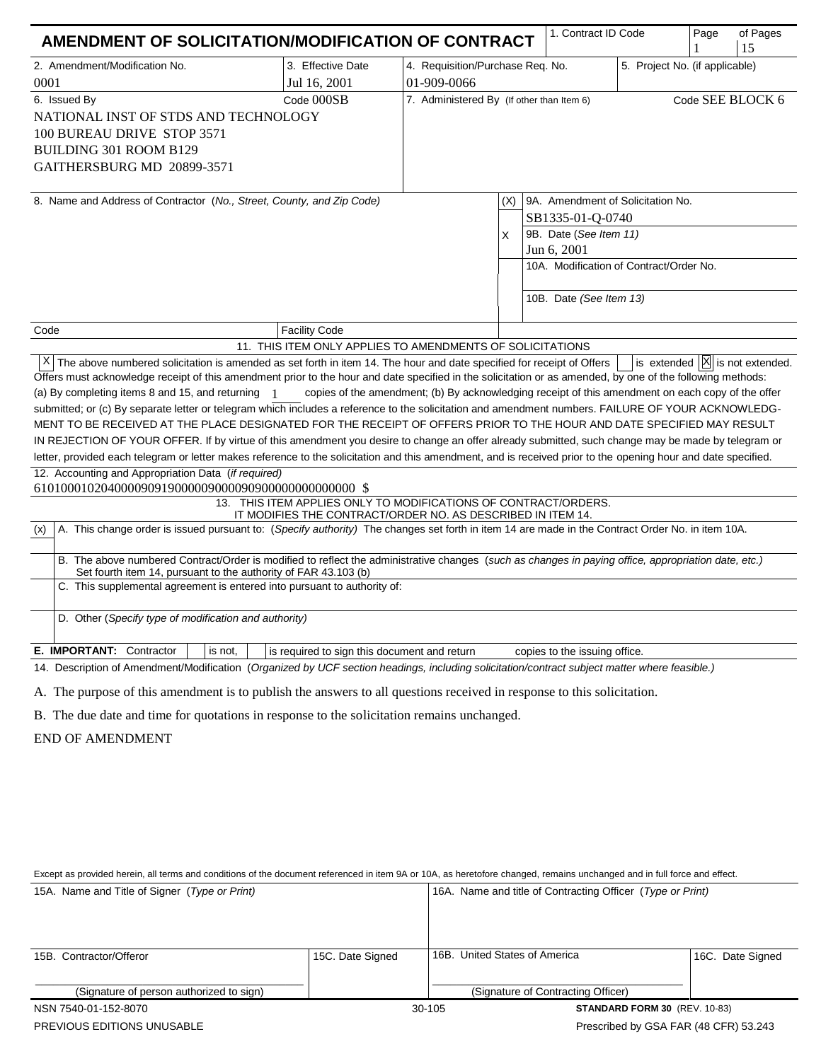| AMENDMENT OF SOLICITATION/MODIFICATION OF CONTRACT                                                                                                                                                                                                                                                                                                                                                                                                                                                                                                                                                                                                                                                                                                                                                                                                                                                                                                                                                                                                                                                                                                                                                                                                                                                                                                                                                                                                                                                                                                                                                                                                                                                                                                                                                                                                                                                                                               |                                                                                   |                                                                                   |          |  | 1. Contract ID Code                                                                  |                                                                              | Page | of Pages<br>15 |
|--------------------------------------------------------------------------------------------------------------------------------------------------------------------------------------------------------------------------------------------------------------------------------------------------------------------------------------------------------------------------------------------------------------------------------------------------------------------------------------------------------------------------------------------------------------------------------------------------------------------------------------------------------------------------------------------------------------------------------------------------------------------------------------------------------------------------------------------------------------------------------------------------------------------------------------------------------------------------------------------------------------------------------------------------------------------------------------------------------------------------------------------------------------------------------------------------------------------------------------------------------------------------------------------------------------------------------------------------------------------------------------------------------------------------------------------------------------------------------------------------------------------------------------------------------------------------------------------------------------------------------------------------------------------------------------------------------------------------------------------------------------------------------------------------------------------------------------------------------------------------------------------------------------------------------------------------|-----------------------------------------------------------------------------------|-----------------------------------------------------------------------------------|----------|--|--------------------------------------------------------------------------------------|------------------------------------------------------------------------------|------|----------------|
| 2. Amendment/Modification No.<br>0001                                                                                                                                                                                                                                                                                                                                                                                                                                                                                                                                                                                                                                                                                                                                                                                                                                                                                                                                                                                                                                                                                                                                                                                                                                                                                                                                                                                                                                                                                                                                                                                                                                                                                                                                                                                                                                                                                                            | 3. Effective Date<br>Jul 16, 2001                                                 | 4. Requisition/Purchase Req. No.<br>5. Project No. (if applicable)<br>01-909-0066 |          |  |                                                                                      |                                                                              |      |                |
| Code 000SB<br>6. Issued By<br>NATIONAL INST OF STDS AND TECHNOLOGY<br>100 BUREAU DRIVE STOP 3571<br><b>BUILDING 301 ROOM B129</b><br>GAITHERSBURG MD 20899-3571                                                                                                                                                                                                                                                                                                                                                                                                                                                                                                                                                                                                                                                                                                                                                                                                                                                                                                                                                                                                                                                                                                                                                                                                                                                                                                                                                                                                                                                                                                                                                                                                                                                                                                                                                                                  |                                                                                   | Code SEE BLOCK 6<br>7. Administered By (If other than Item 6)                     |          |  |                                                                                      |                                                                              |      |                |
| 8. Name and Address of Contractor (No., Street, County, and Zip Code)                                                                                                                                                                                                                                                                                                                                                                                                                                                                                                                                                                                                                                                                                                                                                                                                                                                                                                                                                                                                                                                                                                                                                                                                                                                                                                                                                                                                                                                                                                                                                                                                                                                                                                                                                                                                                                                                            |                                                                                   |                                                                                   | (X)<br>X |  | SB1335-01-Q-0740<br>9B. Date (See Item 11)<br>Jun 6, 2001<br>10B. Date (See Item 13) | 9A. Amendment of Solicitation No.<br>10A. Modification of Contract/Order No. |      |                |
|                                                                                                                                                                                                                                                                                                                                                                                                                                                                                                                                                                                                                                                                                                                                                                                                                                                                                                                                                                                                                                                                                                                                                                                                                                                                                                                                                                                                                                                                                                                                                                                                                                                                                                                                                                                                                                                                                                                                                  |                                                                                   |                                                                                   |          |  |                                                                                      |                                                                              |      |                |
| Code                                                                                                                                                                                                                                                                                                                                                                                                                                                                                                                                                                                                                                                                                                                                                                                                                                                                                                                                                                                                                                                                                                                                                                                                                                                                                                                                                                                                                                                                                                                                                                                                                                                                                                                                                                                                                                                                                                                                             | <b>Facility Code</b><br>11. THIS ITEM ONLY APPLIES TO AMENDMENTS OF SOLICITATIONS |                                                                                   |          |  |                                                                                      |                                                                              |      |                |
| X The above numbered solicitation is amended as set forth in item 14. The hour and date specified for receipt of Offers<br>is extended $ \mathsf{X} $ is not extended.<br>Offers must acknowledge receipt of this amendment prior to the hour and date specified in the solicitation or as amended, by one of the following methods:<br>copies of the amendment; (b) By acknowledging receipt of this amendment on each copy of the offer<br>(a) By completing items 8 and 15, and returning 1<br>submitted; or (c) By separate letter or telegram which includes a reference to the solicitation and amendment numbers. FAILURE OF YOUR ACKNOWLEDG-<br>MENT TO BE RECEIVED AT THE PLACE DESIGNATED FOR THE RECEIPT OF OFFERS PRIOR TO THE HOUR AND DATE SPECIFIED MAY RESULT<br>IN REJECTION OF YOUR OFFER. If by virtue of this amendment you desire to change an offer already submitted, such change may be made by telegram or<br>letter, provided each telegram or letter makes reference to the solicitation and this amendment, and is received prior to the opening hour and date specified.<br>12. Accounting and Appropriation Data (if required)<br>13. THIS ITEM APPLIES ONLY TO MODIFICATIONS OF CONTRACT/ORDERS.<br>IT MODIFIES THE CONTRACT/ORDER NO. AS DESCRIBED IN ITEM 14.<br>A. This change order is issued pursuant to: (Specify authority) The changes set forth in item 14 are made in the Contract Order No. in item 10A.<br>(x)<br>B. The above numbered Contract/Order is modified to reflect the administrative changes (such as changes in paying office, appropriation date, etc.)<br>Set fourth item 14, pursuant to the authority of FAR 43.103 (b)<br>C. This supplemental agreement is entered into pursuant to authority of:<br>D. Other (Specify type of modification and authority)<br>E. IMPORTANT: Contractor<br>is not,<br>is required to sign this document and return<br>copies to the issuing office. |                                                                                   |                                                                                   |          |  |                                                                                      |                                                                              |      |                |
| 14. Description of Amendment/Modification (Organized by UCF section headings, including solicitation/contract subject matter where feasible.)                                                                                                                                                                                                                                                                                                                                                                                                                                                                                                                                                                                                                                                                                                                                                                                                                                                                                                                                                                                                                                                                                                                                                                                                                                                                                                                                                                                                                                                                                                                                                                                                                                                                                                                                                                                                    |                                                                                   |                                                                                   |          |  |                                                                                      |                                                                              |      |                |
| A. The purpose of this amendment is to publish the answers to all questions received in response to this solicitation.<br>B. The due date and time for quotations in response to the solicitation remains unchanged.<br><b>END OF AMENDMENT</b>                                                                                                                                                                                                                                                                                                                                                                                                                                                                                                                                                                                                                                                                                                                                                                                                                                                                                                                                                                                                                                                                                                                                                                                                                                                                                                                                                                                                                                                                                                                                                                                                                                                                                                  |                                                                                   |                                                                                   |          |  |                                                                                      |                                                                              |      |                |
|                                                                                                                                                                                                                                                                                                                                                                                                                                                                                                                                                                                                                                                                                                                                                                                                                                                                                                                                                                                                                                                                                                                                                                                                                                                                                                                                                                                                                                                                                                                                                                                                                                                                                                                                                                                                                                                                                                                                                  |                                                                                   |                                                                                   |          |  |                                                                                      |                                                                              |      |                |

| Except as provided herein, all terms and conditions of the document referenced in item 9A or 10A, as heretofore changed, remains unchanged and in full force and effect. |                                                            |  |  |  |  |  |  |
|--------------------------------------------------------------------------------------------------------------------------------------------------------------------------|------------------------------------------------------------|--|--|--|--|--|--|
| 15A. Name and Title of Signer (Type or Print)                                                                                                                            | 16A. Name and title of Contracting Officer (Type or Print) |  |  |  |  |  |  |

| 15B. Contractor/Offeror                  | 15C. Date Signed | 16B. United States of America         | 16C. Date Signed                     |  |
|------------------------------------------|------------------|---------------------------------------|--------------------------------------|--|
|                                          |                  |                                       |                                      |  |
| (Signature of person authorized to sign) |                  | (Signature of Contracting Officer)    |                                      |  |
| NSN 7540-01-152-8070                     |                  | 30-105                                | <b>STANDARD FORM 30 (REV. 10-83)</b> |  |
| <b>PREVIOUS EDITIONS UNUSABLE</b>        |                  | Prescribed by GSA FAR (48 CFR) 53.243 |                                      |  |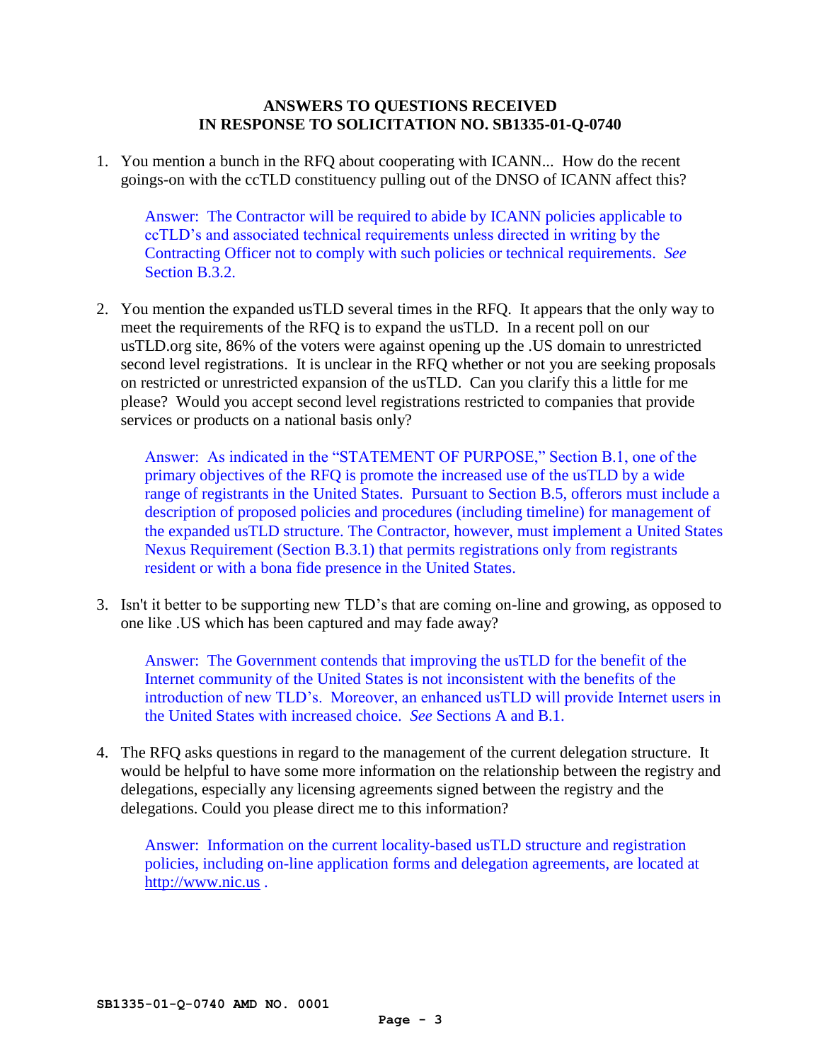# **ANSWERS TO QUESTIONS RECEIVED IN RESPONSE TO SOLICITATION NO. SB1335-01-Q-0740**

1. You mention a bunch in the RFQ about cooperating with ICANN... How do the recent goings-on with the ccTLD constituency pulling out of the DNSO of ICANN affect this?

Answer: The Contractor will be required to abide by ICANN policies applicable to ccTLD's and associated technical requirements unless directed in writing by the Contracting Officer not to comply with such policies or technical requirements. *See* Section B.3.2.

2. You mention the expanded usTLD several times in the RFQ. It appears that the only way to meet the requirements of the RFQ is to expand the usTLD. In a recent poll on our usTLD.org site, 86% of the voters were against opening up the .US domain to unrestricted second level registrations. It is unclear in the RFQ whether or not you are seeking proposals on restricted or unrestricted expansion of the usTLD. Can you clarify this a little for me please? Would you accept second level registrations restricted to companies that provide services or products on a national basis only?

Answer: As indicated in the "STATEMENT OF PURPOSE," Section B.1, one of the primary objectives of the RFQ is promote the increased use of the usTLD by a wide range of registrants in the United States. Pursuant to Section B.5, offerors must include a description of proposed policies and procedures (including timeline) for management of the expanded usTLD structure. The Contractor, however, must implement a United States Nexus Requirement (Section B.3.1) that permits registrations only from registrants resident or with a bona fide presence in the United States.

3. Isn't it better to be supporting new TLD's that are coming on-line and growing, as opposed to one like .US which has been captured and may fade away?

Answer: The Government contends that improving the usTLD for the benefit of the Internet community of the United States is not inconsistent with the benefits of the introduction of new TLD's. Moreover, an enhanced usTLD will provide Internet users in the United States with increased choice. *See* Sections A and B.1.

4. The RFQ asks questions in regard to the management of the current delegation structure. It would be helpful to have some more information on the relationship between the registry and delegations, especially any licensing agreements signed between the registry and the delegations. Could you please direct me to this information?

Answer: Information on the current locality-based usTLD structure and registration policies, including on-line application forms and delegation agreements, are located at [http://www.nic.us](http://www.nic.us/) .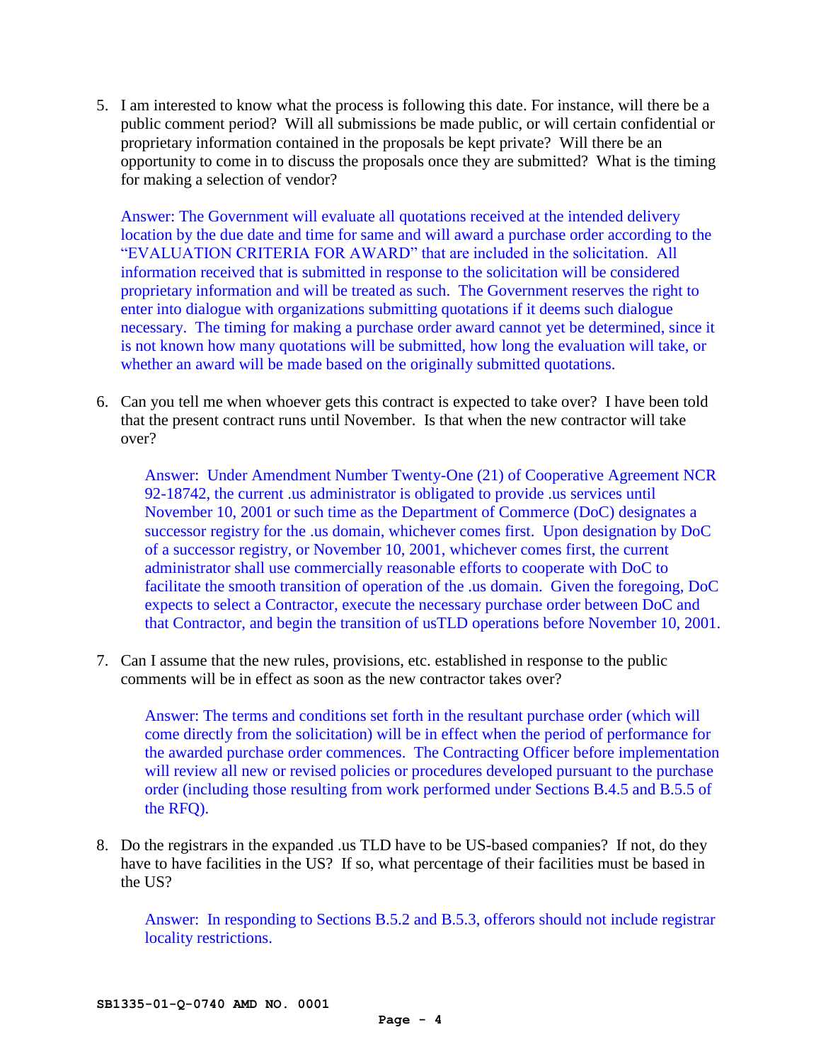5. I am interested to know what the process is following this date. For instance, will there be a public comment period? Will all submissions be made public, or will certain confidential or proprietary information contained in the proposals be kept private? Will there be an opportunity to come in to discuss the proposals once they are submitted? What is the timing for making a selection of vendor?

Answer: The Government will evaluate all quotations received at the intended delivery location by the due date and time for same and will award a purchase order according to the "EVALUATION CRITERIA FOR AWARD" that are included in the solicitation. All information received that is submitted in response to the solicitation will be considered proprietary information and will be treated as such. The Government reserves the right to enter into dialogue with organizations submitting quotations if it deems such dialogue necessary. The timing for making a purchase order award cannot yet be determined, since it is not known how many quotations will be submitted, how long the evaluation will take, or whether an award will be made based on the originally submitted quotations.

6. Can you tell me when whoever gets this contract is expected to take over? I have been told that the present contract runs until November. Is that when the new contractor will take over?

Answer: Under Amendment Number Twenty-One (21) of Cooperative Agreement NCR 92-18742, the current .us administrator is obligated to provide .us services until November 10, 2001 or such time as the Department of Commerce (DoC) designates a successor registry for the .us domain, whichever comes first. Upon designation by DoC of a successor registry, or November 10, 2001, whichever comes first, the current administrator shall use commercially reasonable efforts to cooperate with DoC to facilitate the smooth transition of operation of the .us domain. Given the foregoing, DoC expects to select a Contractor, execute the necessary purchase order between DoC and that Contractor, and begin the transition of usTLD operations before November 10, 2001.

7. Can I assume that the new rules, provisions, etc. established in response to the public comments will be in effect as soon as the new contractor takes over?

Answer: The terms and conditions set forth in the resultant purchase order (which will come directly from the solicitation) will be in effect when the period of performance for the awarded purchase order commences. The Contracting Officer before implementation will review all new or revised policies or procedures developed pursuant to the purchase order (including those resulting from work performed under Sections B.4.5 and B.5.5 of the RFQ).

8. Do the registrars in the expanded .us TLD have to be US-based companies? If not, do they have to have facilities in the US? If so, what percentage of their facilities must be based in the US?

Answer: In responding to Sections B.5.2 and B.5.3, offerors should not include registrar locality restrictions.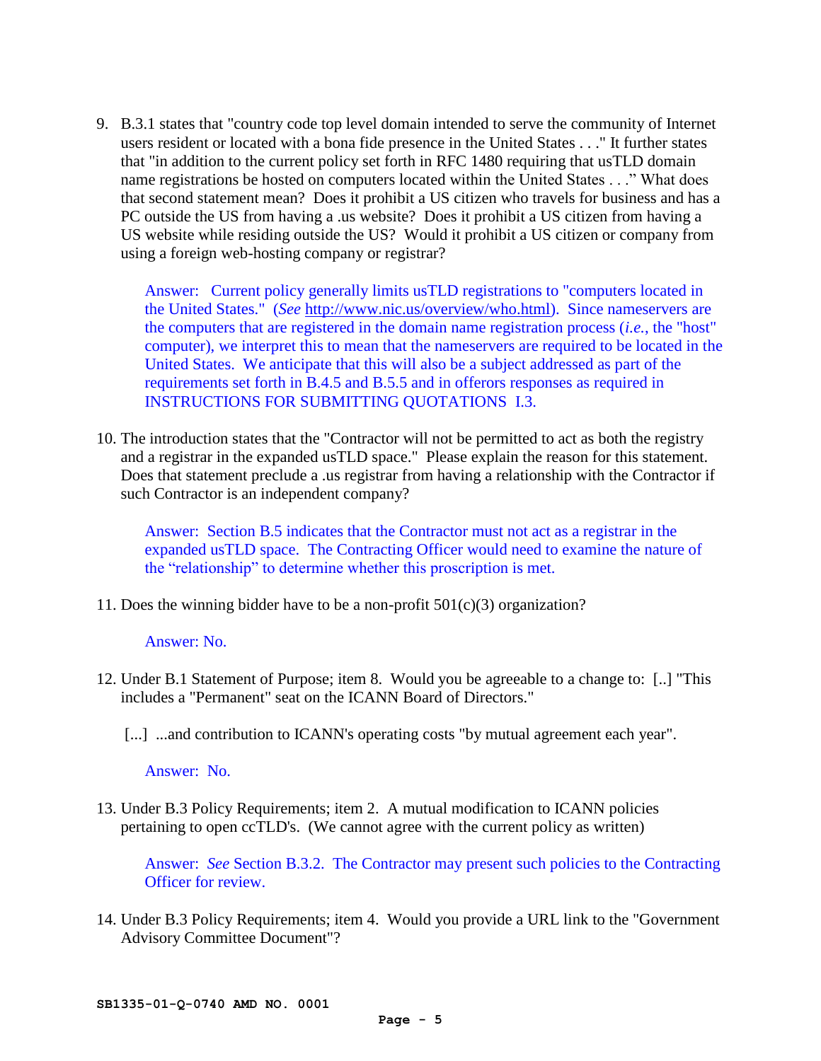9. B.3.1 states that "country code top level domain intended to serve the community of Internet users resident or located with a bona fide presence in the United States . . ." It further states that "in addition to the current policy set forth in RFC 1480 requiring that usTLD domain name registrations be hosted on computers located within the United States . . ." What does that second statement mean? Does it prohibit a US citizen who travels for business and has a PC outside the US from having a .us website? Does it prohibit a US citizen from having a US website while residing outside the US? Would it prohibit a US citizen or company from using a foreign web-hosting company or registrar?

Answer: Current policy generally limits usTLD registrations to "computers located in the United States." (*See* [http://www.nic.us/overview/who.html\)](http://www.nic.us/overview/who.html). Since nameservers are the computers that are registered in the domain name registration process (*i.e.*, the "host" computer), we interpret this to mean that the nameservers are required to be located in the United States. We anticipate that this will also be a subject addressed as part of the requirements set forth in B.4.5 and B.5.5 and in offerors responses as required in INSTRUCTIONS FOR SUBMITTING QUOTATIONS I.3.

10. The introduction states that the "Contractor will not be permitted to act as both the registry and a registrar in the expanded usTLD space." Please explain the reason for this statement. Does that statement preclude a .us registrar from having a relationship with the Contractor if such Contractor is an independent company?

Answer: Section B.5 indicates that the Contractor must not act as a registrar in the expanded usTLD space. The Contracting Officer would need to examine the nature of the "relationship" to determine whether this proscription is met.

11. Does the winning bidder have to be a non-profit 501(c)(3) organization?

#### Answer: No.

- 12. Under B.1 Statement of Purpose; item 8. Would you be agreeable to a change to: [..] "This includes a "Permanent" seat on the ICANN Board of Directors."
	- [...] ...and contribution to ICANN's operating costs "by mutual agreement each year".

Answer: No.

13. Under B.3 Policy Requirements; item 2. A mutual modification to ICANN policies pertaining to open ccTLD's. (We cannot agree with the current policy as written)

Answer: *See* Section B.3.2. The Contractor may present such policies to the Contracting Officer for review.

14. Under B.3 Policy Requirements; item 4. Would you provide a URL link to the "Government Advisory Committee Document"?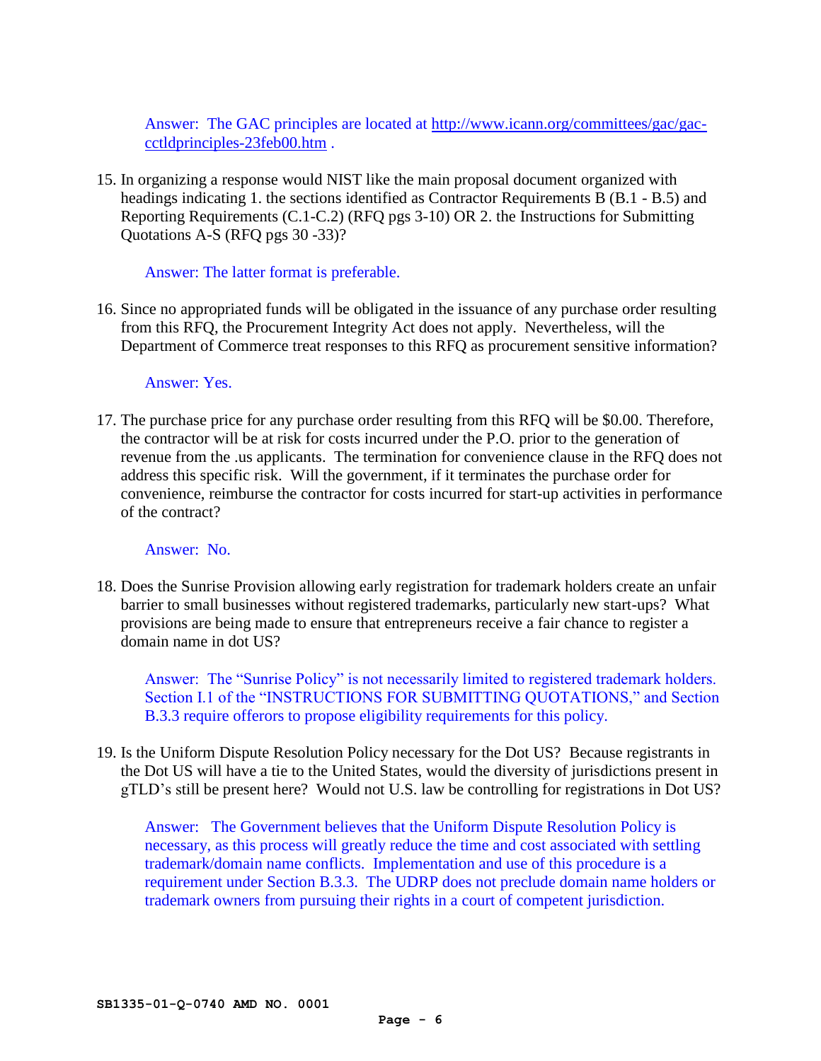Answer: The GAC principles are located at [http://www.icann.org/committees/gac/gac](http://www.icann.org/committees/gac/gac-cctldprinciples-23feb00.htm)[cctldprinciples-23feb00.htm](http://www.icann.org/committees/gac/gac-cctldprinciples-23feb00.htm) .

15. In organizing a response would NIST like the main proposal document organized with headings indicating 1. the sections identified as Contractor Requirements B (B.1 - B.5) and Reporting Requirements (C.1-C.2) (RFQ pgs 3-10) OR 2. the Instructions for Submitting Quotations A-S (RFQ pgs 30 -33)?

Answer: The latter format is preferable.

16. Since no appropriated funds will be obligated in the issuance of any purchase order resulting from this RFQ, the Procurement Integrity Act does not apply. Nevertheless, will the Department of Commerce treat responses to this RFQ as procurement sensitive information?

### Answer: Yes.

17. The purchase price for any purchase order resulting from this RFQ will be \$0.00. Therefore, the contractor will be at risk for costs incurred under the P.O. prior to the generation of revenue from the .us applicants. The termination for convenience clause in the RFQ does not address this specific risk. Will the government, if it terminates the purchase order for convenience, reimburse the contractor for costs incurred for start-up activities in performance of the contract?

# Answer: No.

18. Does the Sunrise Provision allowing early registration for trademark holders create an unfair barrier to small businesses without registered trademarks, particularly new start-ups? What provisions are being made to ensure that entrepreneurs receive a fair chance to register a domain name in dot US?

Answer: The "Sunrise Policy" is not necessarily limited to registered trademark holders. Section I.1 of the "INSTRUCTIONS FOR SUBMITTING QUOTATIONS," and Section B.3.3 require offerors to propose eligibility requirements for this policy.

19. Is the Uniform Dispute Resolution Policy necessary for the Dot US? Because registrants in the Dot US will have a tie to the United States, would the diversity of jurisdictions present in gTLD's still be present here? Would not U.S. law be controlling for registrations in Dot US?

Answer: The Government believes that the Uniform Dispute Resolution Policy is necessary, as this process will greatly reduce the time and cost associated with settling trademark/domain name conflicts. Implementation and use of this procedure is a requirement under Section B.3.3. The UDRP does not preclude domain name holders or trademark owners from pursuing their rights in a court of competent jurisdiction.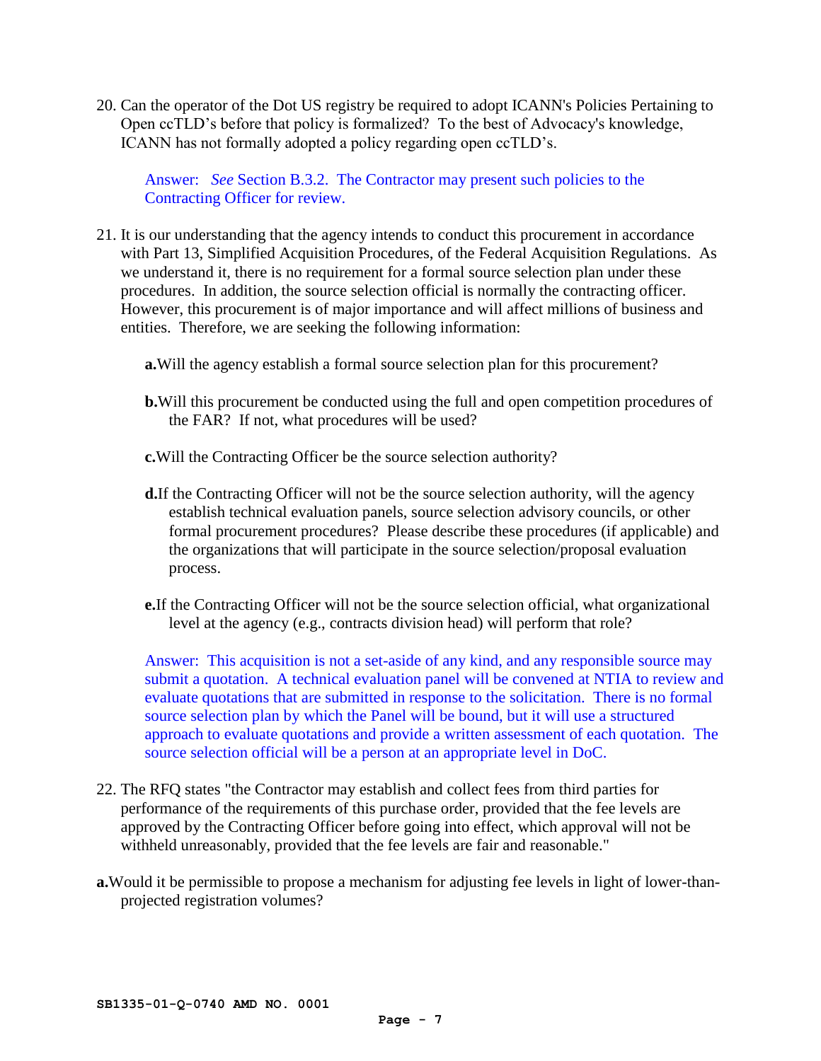20. Can the operator of the Dot US registry be required to adopt ICANN's Policies Pertaining to Open ccTLD's before that policy is formalized? To the best of Advocacy's knowledge, ICANN has not formally adopted a policy regarding open ccTLD's.

Answer: *See* Section B.3.2. The Contractor may present such policies to the Contracting Officer for review.

- 21. It is our understanding that the agency intends to conduct this procurement in accordance with Part 13, Simplified Acquisition Procedures, of the Federal Acquisition Regulations. As we understand it, there is no requirement for a formal source selection plan under these procedures. In addition, the source selection official is normally the contracting officer. However, this procurement is of major importance and will affect millions of business and entities. Therefore, we are seeking the following information:
	- **a.**Will the agency establish a formal source selection plan for this procurement?
	- **b.**Will this procurement be conducted using the full and open competition procedures of the FAR? If not, what procedures will be used?
	- **c.**Will the Contracting Officer be the source selection authority?
	- **d.**If the Contracting Officer will not be the source selection authority, will the agency establish technical evaluation panels, source selection advisory councils, or other formal procurement procedures? Please describe these procedures (if applicable) and the organizations that will participate in the source selection/proposal evaluation process.
	- **e.**If the Contracting Officer will not be the source selection official, what organizational level at the agency (e.g., contracts division head) will perform that role?

Answer: This acquisition is not a set-aside of any kind, and any responsible source may submit a quotation. A technical evaluation panel will be convened at NTIA to review and evaluate quotations that are submitted in response to the solicitation. There is no formal source selection plan by which the Panel will be bound, but it will use a structured approach to evaluate quotations and provide a written assessment of each quotation. The source selection official will be a person at an appropriate level in DoC.

- 22. The RFQ states "the Contractor may establish and collect fees from third parties for performance of the requirements of this purchase order, provided that the fee levels are approved by the Contracting Officer before going into effect, which approval will not be withheld unreasonably, provided that the fee levels are fair and reasonable."
- **a.**Would it be permissible to propose a mechanism for adjusting fee levels in light of lower-thanprojected registration volumes?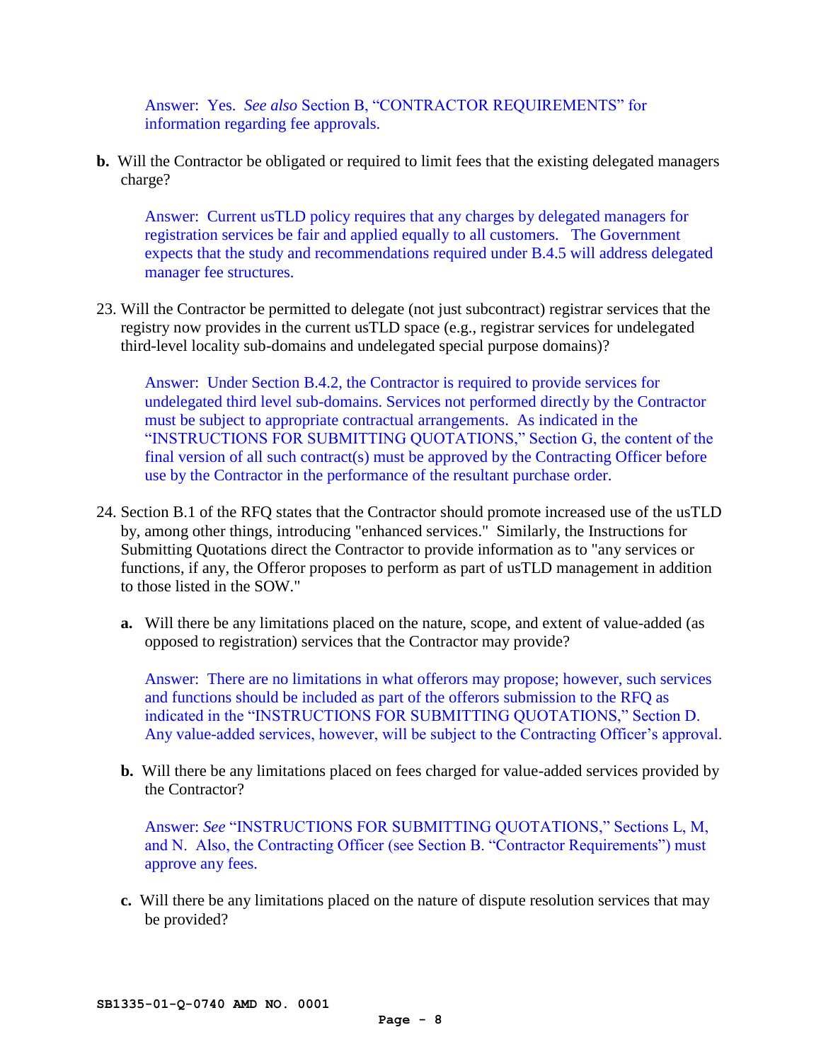Answer: Yes. *See also* Section B, "CONTRACTOR REQUIREMENTS" for information regarding fee approvals.

**b.** Will the Contractor be obligated or required to limit fees that the existing delegated managers charge?

Answer: Current usTLD policy requires that any charges by delegated managers for registration services be fair and applied equally to all customers. The Government expects that the study and recommendations required under B.4.5 will address delegated manager fee structures.

23. Will the Contractor be permitted to delegate (not just subcontract) registrar services that the registry now provides in the current usTLD space (e.g., registrar services for undelegated third-level locality sub-domains and undelegated special purpose domains)?

Answer: Under Section B.4.2, the Contractor is required to provide services for undelegated third level sub-domains. Services not performed directly by the Contractor must be subject to appropriate contractual arrangements. As indicated in the "INSTRUCTIONS FOR SUBMITTING QUOTATIONS," Section G, the content of the final version of all such contract(s) must be approved by the Contracting Officer before use by the Contractor in the performance of the resultant purchase order.

- 24. Section B.1 of the RFQ states that the Contractor should promote increased use of the usTLD by, among other things, introducing "enhanced services." Similarly, the Instructions for Submitting Quotations direct the Contractor to provide information as to "any services or functions, if any, the Offeror proposes to perform as part of usTLD management in addition to those listed in the SOW."
	- **a.** Will there be any limitations placed on the nature, scope, and extent of value-added (as opposed to registration) services that the Contractor may provide?

Answer: There are no limitations in what offerors may propose; however, such services and functions should be included as part of the offerors submission to the RFQ as indicated in the "INSTRUCTIONS FOR SUBMITTING QUOTATIONS," Section D. Any value-added services, however, will be subject to the Contracting Officer's approval.

**b.** Will there be any limitations placed on fees charged for value-added services provided by the Contractor?

Answer: *See* "INSTRUCTIONS FOR SUBMITTING QUOTATIONS," Sections L, M, and N. Also, the Contracting Officer (see Section B. "Contractor Requirements") must approve any fees.

**c.** Will there be any limitations placed on the nature of dispute resolution services that may be provided?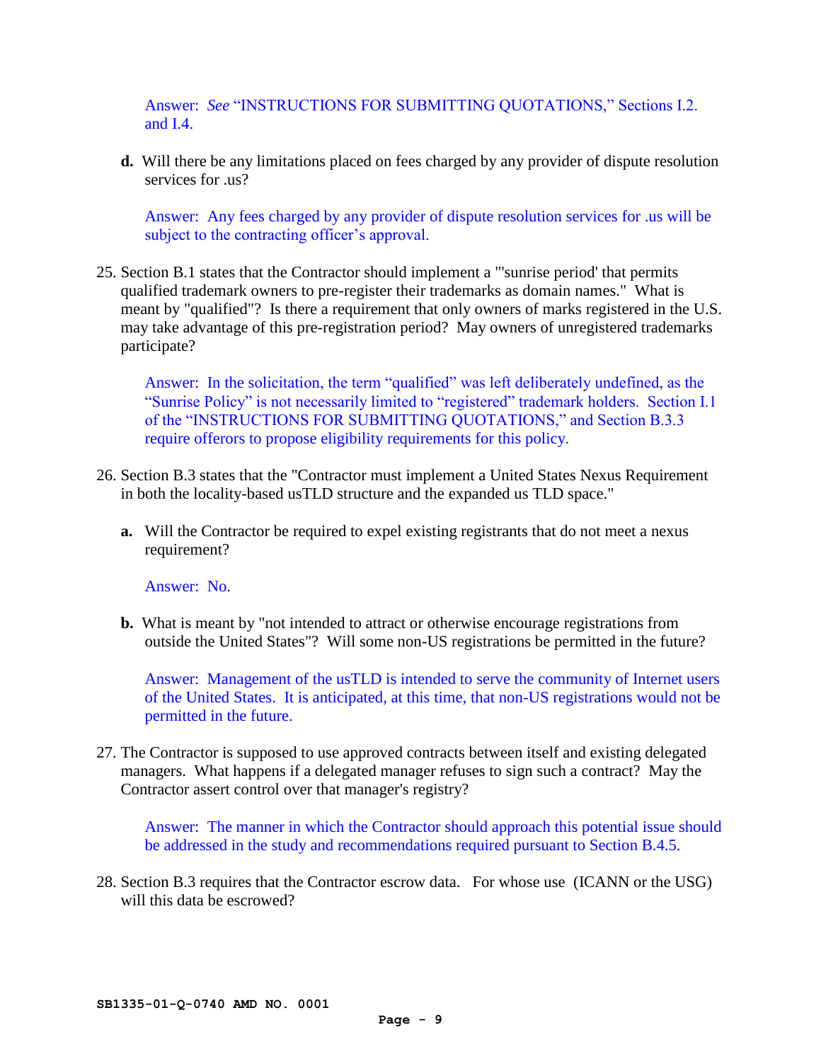Answer: *See* "INSTRUCTIONS FOR SUBMITTING QUOTATIONS," Sections I.2. and I.4.

**d.** Will there be any limitations placed on fees charged by any provider of dispute resolution services for .us?

Answer: Any fees charged by any provider of dispute resolution services for .us will be subject to the contracting officer's approval.

25. Section B.1 states that the Contractor should implement a "'sunrise period' that permits qualified trademark owners to pre-register their trademarks as domain names." What is meant by "qualified"? Is there a requirement that only owners of marks registered in the U.S. may take advantage of this pre-registration period? May owners of unregistered trademarks participate?

Answer: In the solicitation, the term "qualified" was left deliberately undefined, as the "Sunrise Policy" is not necessarily limited to "registered" trademark holders. Section I.1 of the "INSTRUCTIONS FOR SUBMITTING QUOTATIONS," and Section B.3.3 require offerors to propose eligibility requirements for this policy.

- 26. Section B.3 states that the "Contractor must implement a United States Nexus Requirement in both the locality-based usTLD structure and the expanded us TLD space."
	- **a.** Will the Contractor be required to expel existing registrants that do not meet a nexus requirement?

Answer: No.

**b.** What is meant by "not intended to attract or otherwise encourage registrations from outside the United States"? Will some non-US registrations be permitted in the future?

Answer: Management of the usTLD is intended to serve the community of Internet users of the United States. It is anticipated, at this time, that non-US registrations would not be permitted in the future.

27. The Contractor is supposed to use approved contracts between itself and existing delegated managers. What happens if a delegated manager refuses to sign such a contract? May the Contractor assert control over that manager's registry?

Answer: The manner in which the Contractor should approach this potential issue should be addressed in the study and recommendations required pursuant to Section B.4.5.

28. Section B.3 requires that the Contractor escrow data. For whose use (ICANN or the USG) will this data be escrowed?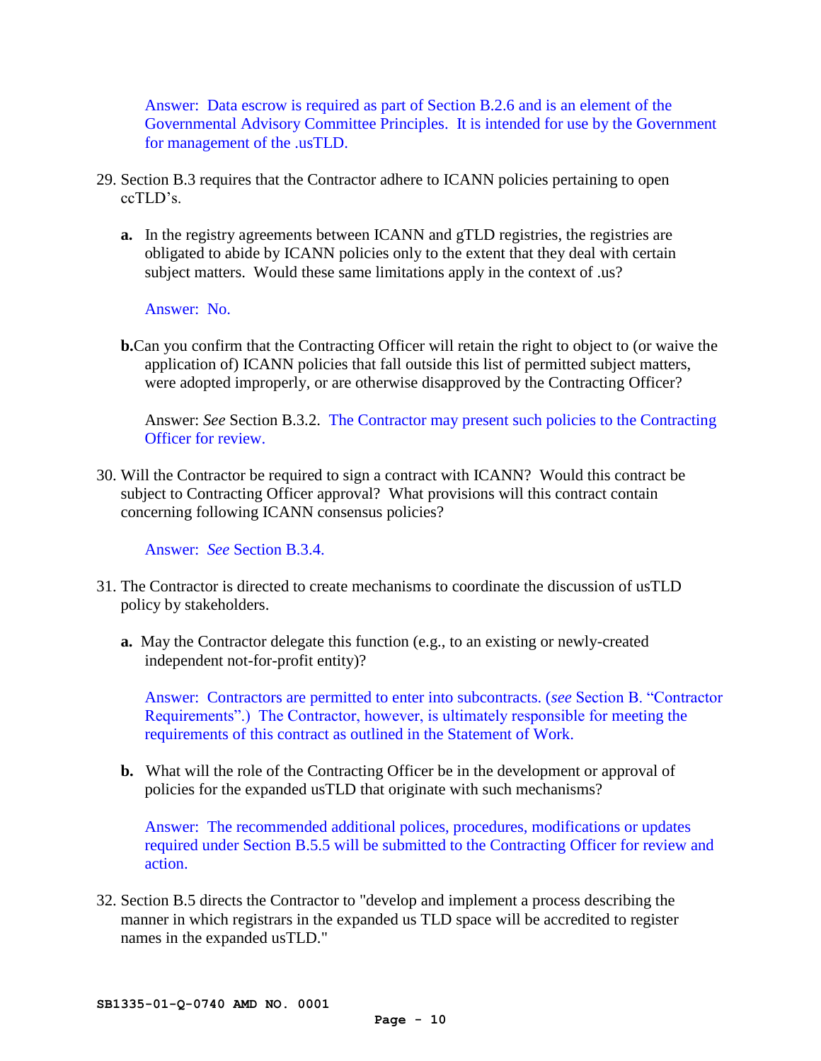Answer: Data escrow is required as part of Section B.2.6 and is an element of the Governmental Advisory Committee Principles. It is intended for use by the Government for management of the .usTLD.

- 29. Section B.3 requires that the Contractor adhere to ICANN policies pertaining to open ccTLD's.
	- **a.** In the registry agreements between ICANN and gTLD registries, the registries are obligated to abide by ICANN policies only to the extent that they deal with certain subject matters. Would these same limitations apply in the context of .us?

Answer: No.

**b.**Can you confirm that the Contracting Officer will retain the right to object to (or waive the application of) ICANN policies that fall outside this list of permitted subject matters, were adopted improperly, or are otherwise disapproved by the Contracting Officer?

Answer: *See* Section B.3.2. The Contractor may present such policies to the Contracting Officer for review.

30. Will the Contractor be required to sign a contract with ICANN? Would this contract be subject to Contracting Officer approval? What provisions will this contract contain concerning following ICANN consensus policies?

Answer: *See* Section B.3.4.

- 31. The Contractor is directed to create mechanisms to coordinate the discussion of usTLD policy by stakeholders.
	- **a.** May the Contractor delegate this function (e.g., to an existing or newly-created independent not-for-profit entity)?

Answer: Contractors are permitted to enter into subcontracts. (*see* Section B. "Contractor Requirements".) The Contractor, however, is ultimately responsible for meeting the requirements of this contract as outlined in the Statement of Work.

**b.** What will the role of the Contracting Officer be in the development or approval of policies for the expanded usTLD that originate with such mechanisms?

Answer: The recommended additional polices, procedures, modifications or updates required under Section B.5.5 will be submitted to the Contracting Officer for review and action.

32. Section B.5 directs the Contractor to "develop and implement a process describing the manner in which registrars in the expanded us TLD space will be accredited to register names in the expanded usTLD."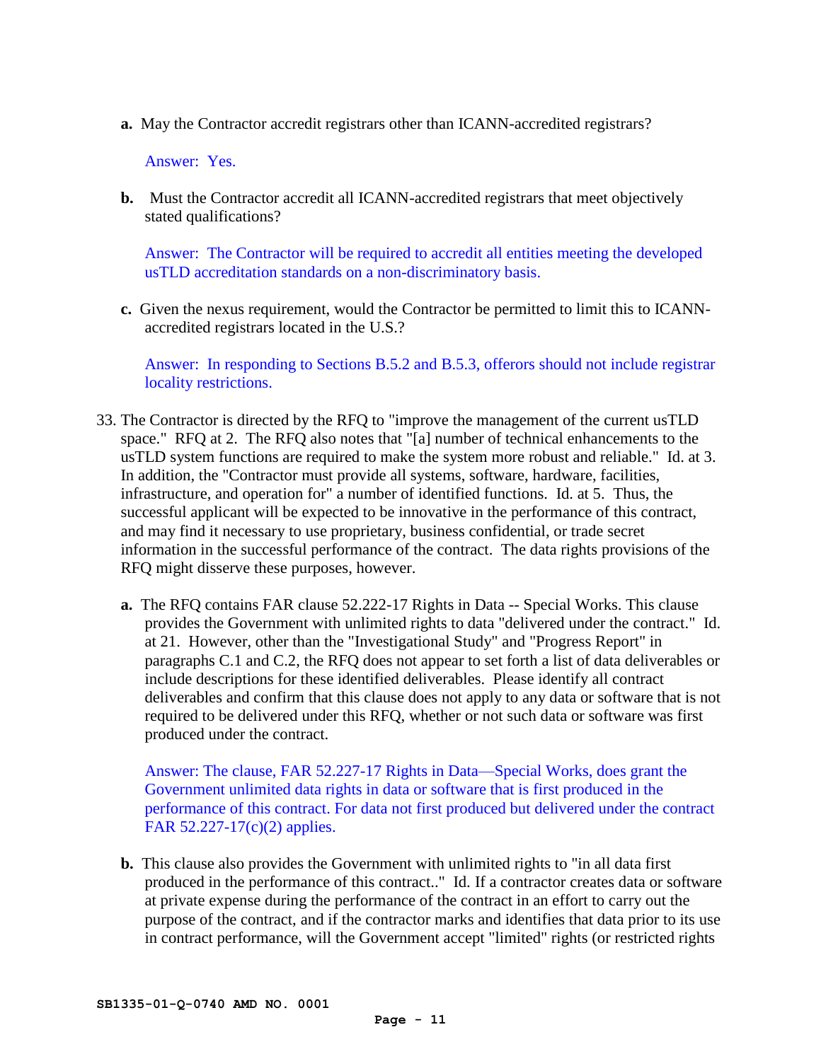**a.** May the Contractor accredit registrars other than ICANN-accredited registrars?

Answer: Yes.

**b.** Must the Contractor accredit all ICANN-accredited registrars that meet objectively stated qualifications?

Answer: The Contractor will be required to accredit all entities meeting the developed usTLD accreditation standards on a non-discriminatory basis.

**c.** Given the nexus requirement, would the Contractor be permitted to limit this to ICANNaccredited registrars located in the U.S.?

Answer: In responding to Sections B.5.2 and B.5.3, offerors should not include registrar locality restrictions.

- 33. The Contractor is directed by the RFQ to "improve the management of the current usTLD space." RFQ at 2. The RFQ also notes that "[a] number of technical enhancements to the usTLD system functions are required to make the system more robust and reliable." Id. at 3. In addition, the "Contractor must provide all systems, software, hardware, facilities, infrastructure, and operation for" a number of identified functions. Id. at 5. Thus, the successful applicant will be expected to be innovative in the performance of this contract, and may find it necessary to use proprietary, business confidential, or trade secret information in the successful performance of the contract. The data rights provisions of the RFQ might disserve these purposes, however.
	- **a.** The RFQ contains FAR clause 52.222-17 Rights in Data -- Special Works. This clause provides the Government with unlimited rights to data "delivered under the contract." Id. at 21. However, other than the "Investigational Study" and "Progress Report" in paragraphs C.1 and C.2, the RFQ does not appear to set forth a list of data deliverables or include descriptions for these identified deliverables. Please identify all contract deliverables and confirm that this clause does not apply to any data or software that is not required to be delivered under this RFQ, whether or not such data or software was first produced under the contract.

Answer: The clause, FAR 52.227-17 Rights in Data—Special Works, does grant the Government unlimited data rights in data or software that is first produced in the performance of this contract. For data not first produced but delivered under the contract FAR 52.227-17(c)(2) applies.

**b.** This clause also provides the Government with unlimited rights to "in all data first produced in the performance of this contract.." Id. If a contractor creates data or software at private expense during the performance of the contract in an effort to carry out the purpose of the contract, and if the contractor marks and identifies that data prior to its use in contract performance, will the Government accept "limited" rights (or restricted rights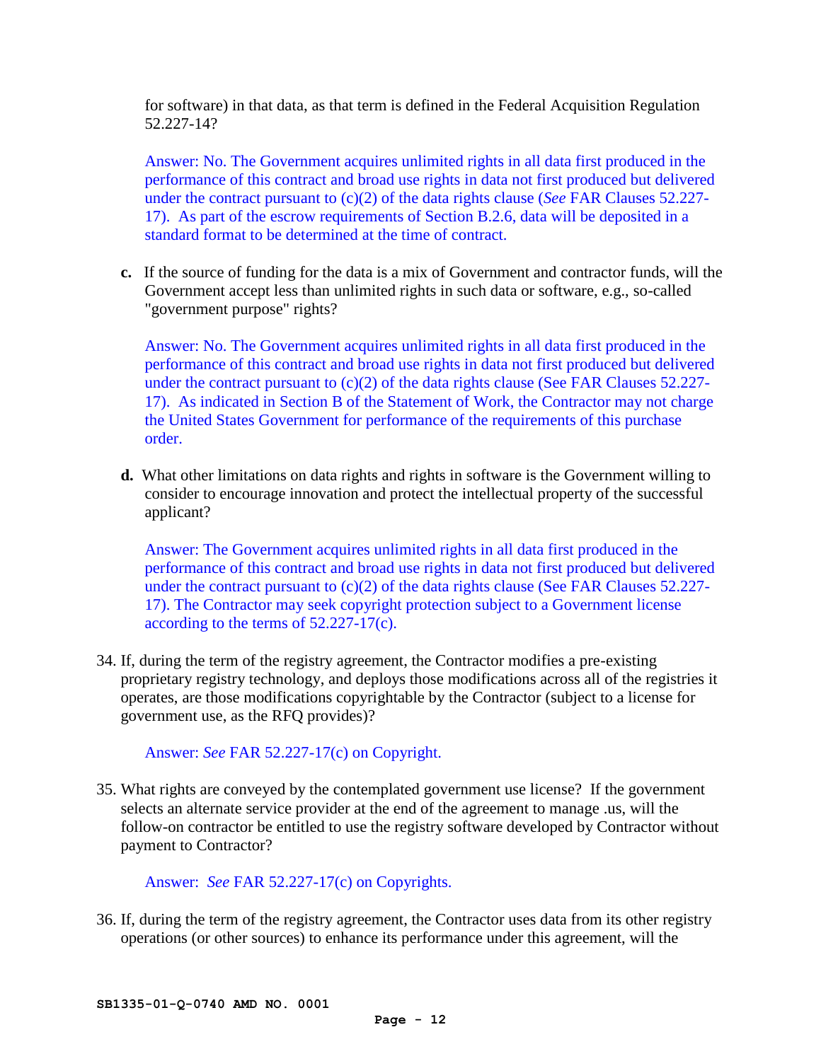for software) in that data, as that term is defined in the Federal Acquisition Regulation 52.227-14?

Answer: No. The Government acquires unlimited rights in all data first produced in the performance of this contract and broad use rights in data not first produced but delivered under the contract pursuant to (c)(2) of the data rights clause (*See* FAR Clauses 52.227- 17). As part of the escrow requirements of Section B.2.6, data will be deposited in a standard format to be determined at the time of contract.

**c.** If the source of funding for the data is a mix of Government and contractor funds, will the Government accept less than unlimited rights in such data or software, e.g., so-called "government purpose" rights?

Answer: No. The Government acquires unlimited rights in all data first produced in the performance of this contract and broad use rights in data not first produced but delivered under the contract pursuant to  $(c)(2)$  of the data rights clause (See FAR Clauses 52.227-17). As indicated in Section B of the Statement of Work, the Contractor may not charge the United States Government for performance of the requirements of this purchase order.

**d.** What other limitations on data rights and rights in software is the Government willing to consider to encourage innovation and protect the intellectual property of the successful applicant?

Answer: The Government acquires unlimited rights in all data first produced in the performance of this contract and broad use rights in data not first produced but delivered under the contract pursuant to  $(c)(2)$  of the data rights clause (See FAR Clauses 52.227-17). The Contractor may seek copyright protection subject to a Government license according to the terms of 52.227-17(c).

34. If, during the term of the registry agreement, the Contractor modifies a pre-existing proprietary registry technology, and deploys those modifications across all of the registries it operates, are those modifications copyrightable by the Contractor (subject to a license for government use, as the RFQ provides)?

Answer: *See* FAR 52.227-17(c) on Copyright.

35. What rights are conveyed by the contemplated government use license? If the government selects an alternate service provider at the end of the agreement to manage .us, will the follow-on contractor be entitled to use the registry software developed by Contractor without payment to Contractor?

Answer: *See* FAR 52.227-17(c) on Copyrights.

36. If, during the term of the registry agreement, the Contractor uses data from its other registry operations (or other sources) to enhance its performance under this agreement, will the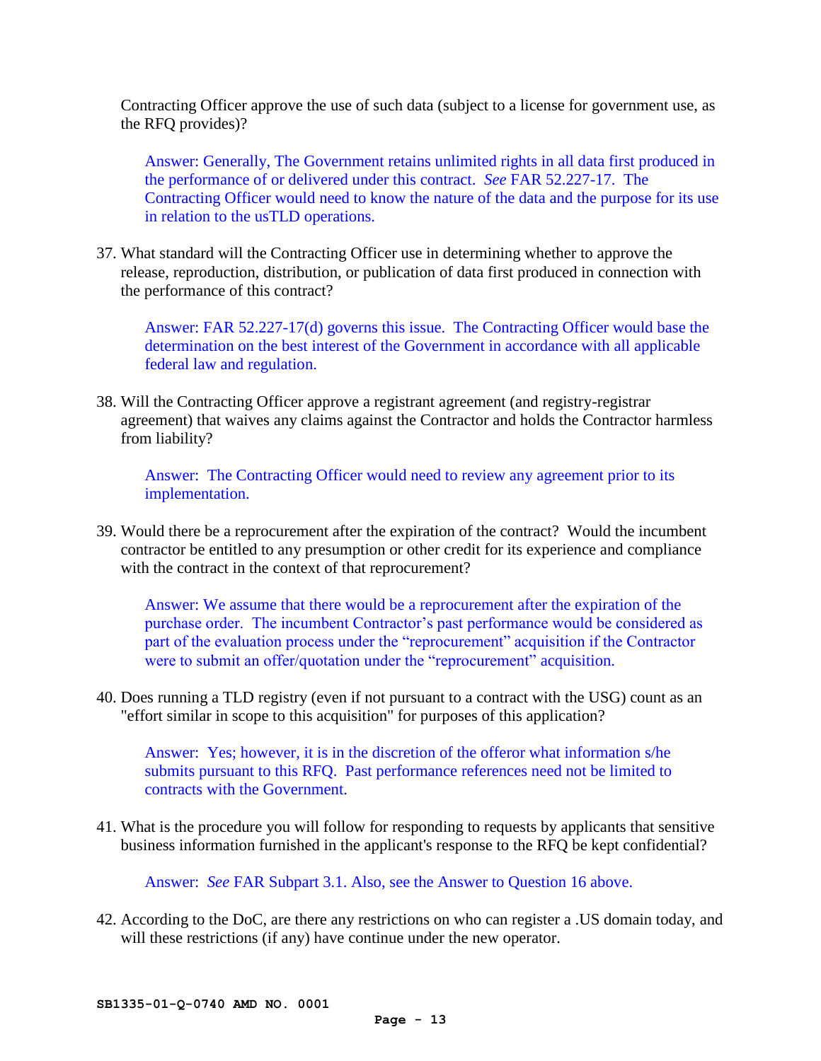Contracting Officer approve the use of such data (subject to a license for government use, as the RFQ provides)?

Answer: Generally, The Government retains unlimited rights in all data first produced in the performance of or delivered under this contract. *See* FAR 52.227-17. The Contracting Officer would need to know the nature of the data and the purpose for its use in relation to the usTLD operations.

37. What standard will the Contracting Officer use in determining whether to approve the release, reproduction, distribution, or publication of data first produced in connection with the performance of this contract?

Answer: FAR 52.227-17(d) governs this issue. The Contracting Officer would base the determination on the best interest of the Government in accordance with all applicable federal law and regulation.

38. Will the Contracting Officer approve a registrant agreement (and registry-registrar agreement) that waives any claims against the Contractor and holds the Contractor harmless from liability?

Answer: The Contracting Officer would need to review any agreement prior to its implementation.

39. Would there be a reprocurement after the expiration of the contract? Would the incumbent contractor be entitled to any presumption or other credit for its experience and compliance with the contract in the context of that reprocurement?

Answer: We assume that there would be a reprocurement after the expiration of the purchase order. The incumbent Contractor's past performance would be considered as part of the evaluation process under the "reprocurement" acquisition if the Contractor were to submit an offer/quotation under the "reprocurement" acquisition.

40. Does running a TLD registry (even if not pursuant to a contract with the USG) count as an "effort similar in scope to this acquisition" for purposes of this application?

Answer: Yes; however, it is in the discretion of the offeror what information s/he submits pursuant to this RFQ. Past performance references need not be limited to contracts with the Government.

41. What is the procedure you will follow for responding to requests by applicants that sensitive business information furnished in the applicant's response to the RFQ be kept confidential?

Answer: *See* FAR Subpart 3.1. Also, see the Answer to Question 16 above.

42. According to the DoC, are there any restrictions on who can register a .US domain today, and will these restrictions (if any) have continue under the new operator.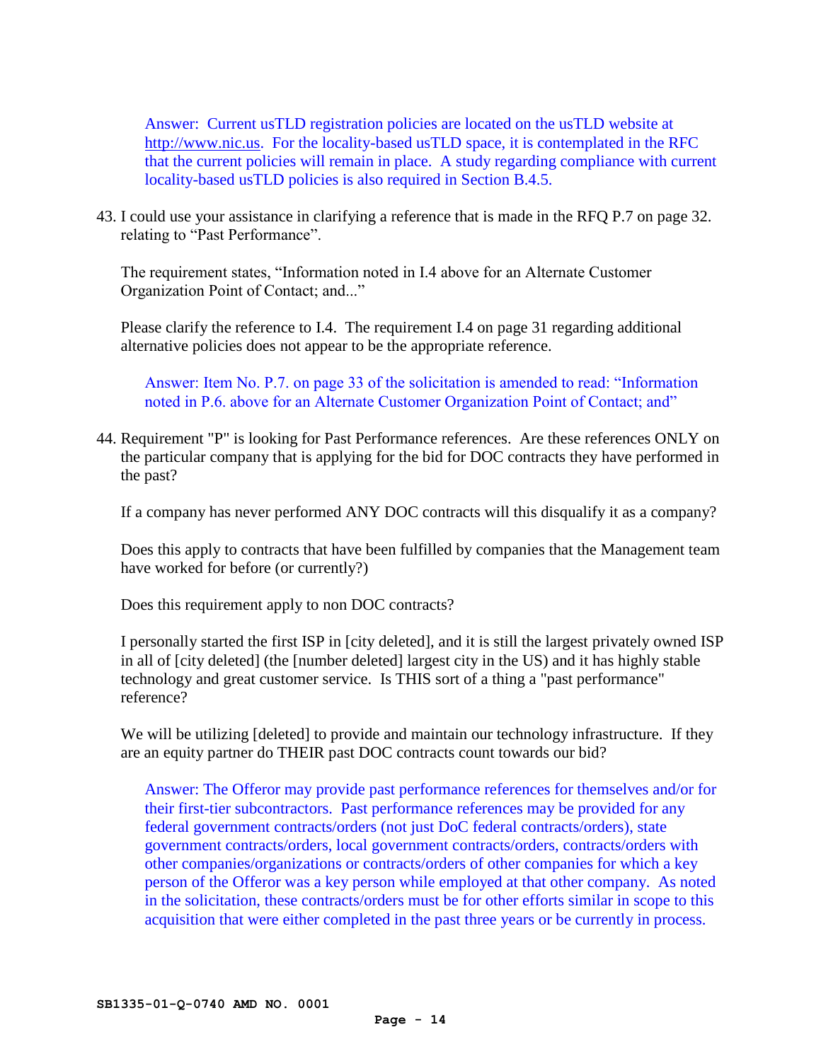Answer: Current usTLD registration policies are located on the usTLD website at [http://www.nic.us.](http://www.nic.us/) For the locality-based usTLD space, it is contemplated in the RFC that the current policies will remain in place. A study regarding compliance with current locality-based usTLD policies is also required in Section B.4.5.

43. I could use your assistance in clarifying a reference that is made in the RFQ P.7 on page 32. relating to "Past Performance".

The requirement states, "Information noted in I.4 above for an Alternate Customer Organization Point of Contact; and..."

Please clarify the reference to I.4. The requirement I.4 on page 31 regarding additional alternative policies does not appear to be the appropriate reference.

Answer: Item No. P.7. on page 33 of the solicitation is amended to read: "Information noted in P.6. above for an Alternate Customer Organization Point of Contact; and"

44. Requirement "P" is looking for Past Performance references. Are these references ONLY on the particular company that is applying for the bid for DOC contracts they have performed in the past?

If a company has never performed ANY DOC contracts will this disqualify it as a company?

Does this apply to contracts that have been fulfilled by companies that the Management team have worked for before (or currently?)

Does this requirement apply to non DOC contracts?

I personally started the first ISP in [city deleted], and it is still the largest privately owned ISP in all of [city deleted] (the [number deleted] largest city in the US) and it has highly stable technology and great customer service. Is THIS sort of a thing a "past performance" reference?

We will be utilizing [deleted] to provide and maintain our technology infrastructure. If they are an equity partner do THEIR past DOC contracts count towards our bid?

Answer: The Offeror may provide past performance references for themselves and/or for their first-tier subcontractors. Past performance references may be provided for any federal government contracts/orders (not just DoC federal contracts/orders), state government contracts/orders, local government contracts/orders, contracts/orders with other companies/organizations or contracts/orders of other companies for which a key person of the Offeror was a key person while employed at that other company. As noted in the solicitation, these contracts/orders must be for other efforts similar in scope to this acquisition that were either completed in the past three years or be currently in process.